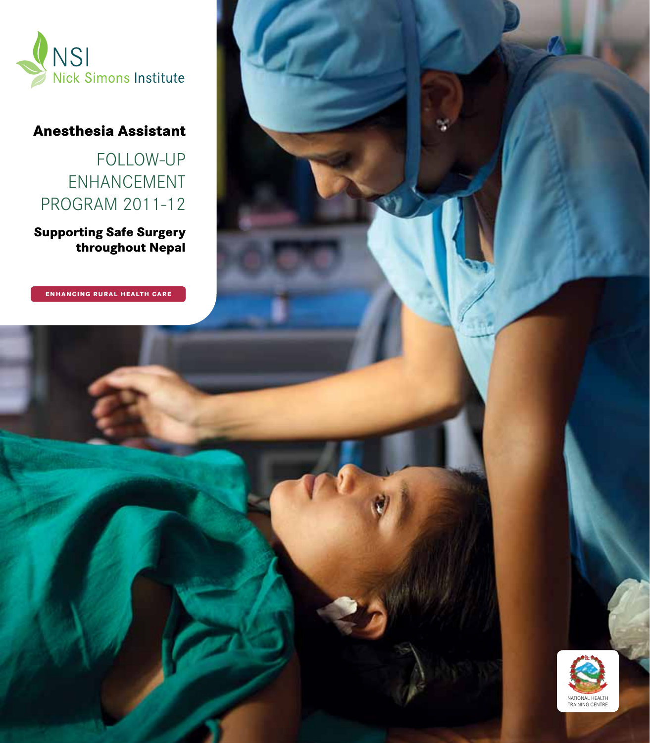

### **Anesthesia Assistant**

Follow-up Enhancement Program 2011-12

**Supporting Safe Surgery throughout Nepal**

**Enhancing Rural Health care**



**nick simons institute**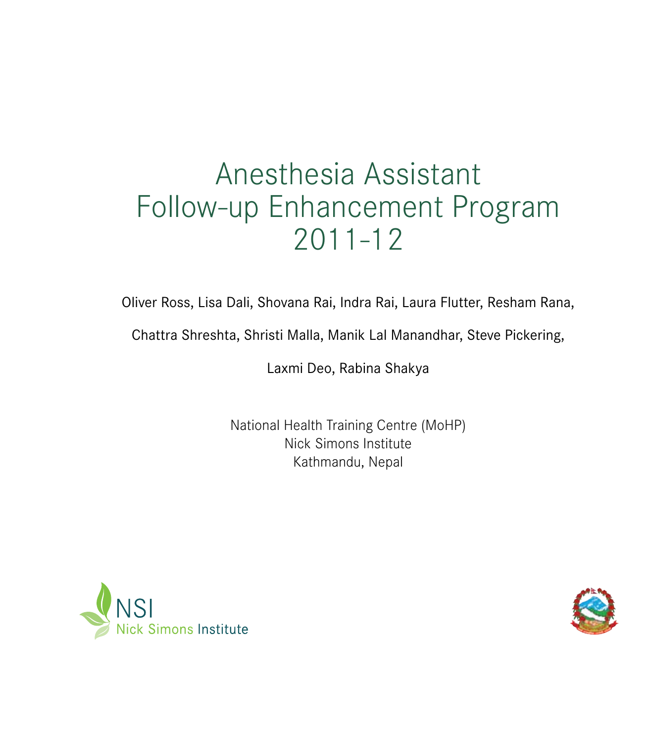# Anesthesia Assistant Follow-up Enhancement Program 2011-12

Oliver Ross, Lisa Dali, Shovana Rai, Indra Rai, Laura Flutter, Resham Rana,

Chattra Shreshta, Shristi Malla, Manik Lal Manandhar, Steve Pickering,

Laxmi Deo, Rabina Shakya

National Health Training Centre (MoHP) Nick Simons Institute Kathmandu, Nepal



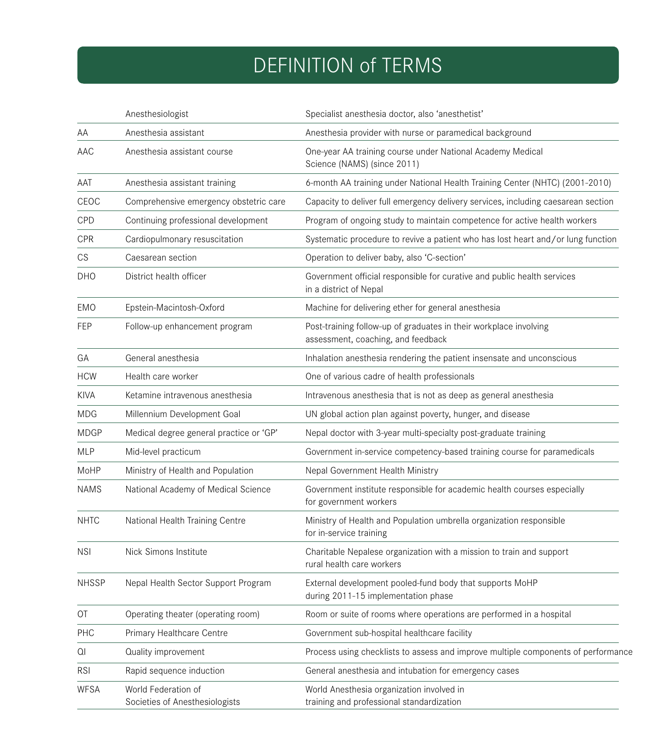## DEFINITION of TERMS

|              | Anesthesiologist                                      | Specialist anesthesia doctor, also 'anesthetist'                                                        |  |
|--------------|-------------------------------------------------------|---------------------------------------------------------------------------------------------------------|--|
| AA           | Anesthesia assistant                                  | Anesthesia provider with nurse or paramedical background                                                |  |
| AAC          | Anesthesia assistant course                           | One-year AA training course under National Academy Medical<br>Science (NAMS) (since 2011)               |  |
| AAT          | Anesthesia assistant training                         | 6-month AA training under National Health Training Center (NHTC) (2001-2010)                            |  |
| CEOC         | Comprehensive emergency obstetric care                | Capacity to deliver full emergency delivery services, including caesarean section                       |  |
| <b>CPD</b>   | Continuing professional development                   | Program of ongoing study to maintain competence for active health workers                               |  |
| <b>CPR</b>   | Cardiopulmonary resuscitation                         | Systematic procedure to revive a patient who has lost heart and/or lung function                        |  |
| CS           | Caesarean section                                     | Operation to deliver baby, also 'C-section'                                                             |  |
| DHO          | District health officer                               | Government official responsible for curative and public health services<br>in a district of Nepal       |  |
| EMO          | Epstein-Macintosh-Oxford                              | Machine for delivering ether for general anesthesia                                                     |  |
| FEP          | Follow-up enhancement program                         | Post-training follow-up of graduates in their workplace involving<br>assessment, coaching, and feedback |  |
| GА           | General anesthesia                                    | Inhalation anesthesia rendering the patient insensate and unconscious                                   |  |
| <b>HCW</b>   | Health care worker                                    | One of various cadre of health professionals                                                            |  |
| KIVA         | Ketamine intravenous anesthesia                       | Intravenous anesthesia that is not as deep as general anesthesia                                        |  |
| MDG          | Millennium Development Goal                           | UN global action plan against poverty, hunger, and disease                                              |  |
| <b>MDGP</b>  | Medical degree general practice or 'GP'               | Nepal doctor with 3-year multi-specialty post-graduate training                                         |  |
| <b>MLP</b>   | Mid-level practicum                                   | Government in-service competency-based training course for paramedicals                                 |  |
| MoHP         | Ministry of Health and Population                     | Nepal Government Health Ministry                                                                        |  |
| <b>NAMS</b>  | National Academy of Medical Science                   | Government institute responsible for academic health courses especially<br>for government workers       |  |
| <b>NHTC</b>  | National Health Training Centre                       | Ministry of Health and Population umbrella organization responsible<br>for in-service training          |  |
| <b>NSI</b>   | Nick Simons Institute                                 | Charitable Nepalese organization with a mission to train and support<br>rural health care workers       |  |
| <b>NHSSP</b> | Nepal Health Sector Support Program                   | External development pooled-fund body that supports MoHP<br>during 2011-15 implementation phase         |  |
| 0T           | Operating theater (operating room)                    | Room or suite of rooms where operations are performed in a hospital                                     |  |
| PHC          | Primary Healthcare Centre                             | Government sub-hospital healthcare facility                                                             |  |
| QI           | Quality improvement                                   | Process using checklists to assess and improve multiple components of performance                       |  |
| <b>RSI</b>   | Rapid sequence induction                              | General anesthesia and intubation for emergency cases                                                   |  |
| WFSA         | World Federation of<br>Societies of Anesthesiologists | World Anesthesia organization involved in<br>training and professional standardization                  |  |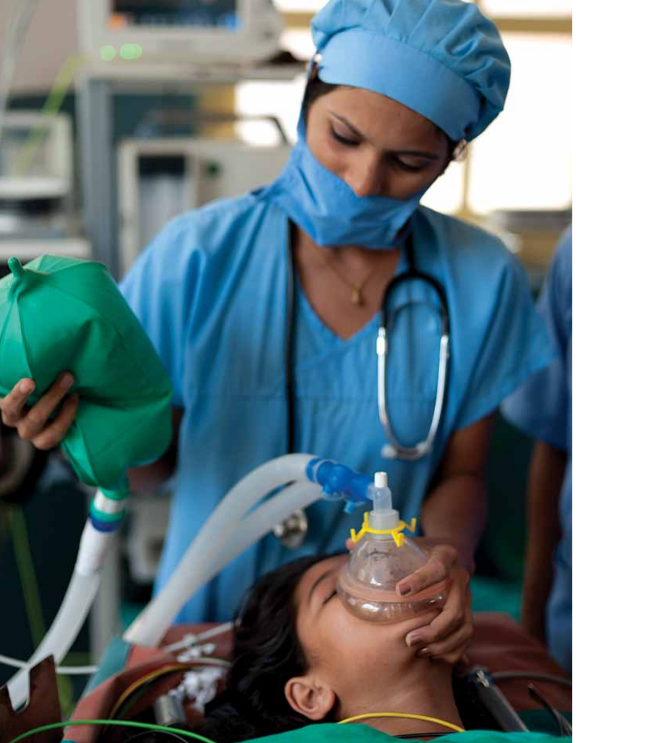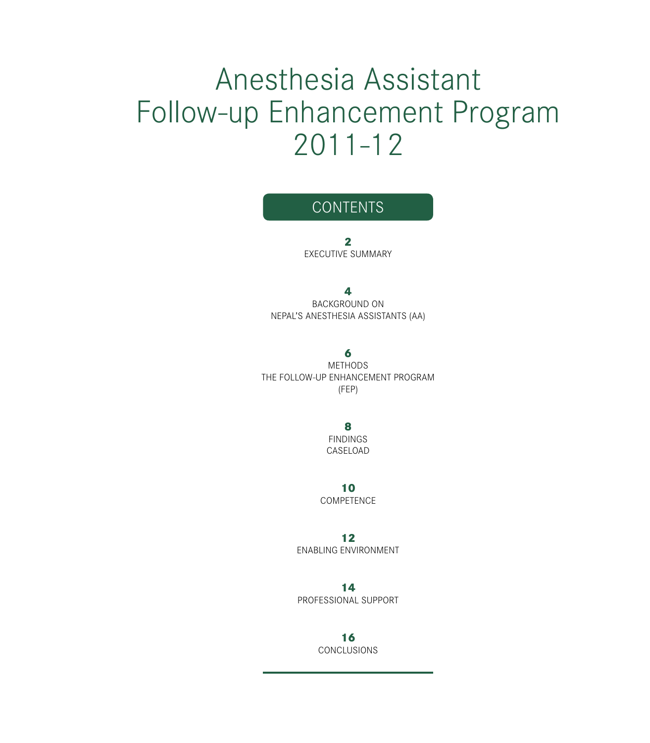# Anesthesia Assistant Follow-up Enhancement Program 2011-12

### **CONTENTS**

**2** Executive Summary

**4**

Background on Nepal's Anesthesia Assistants (AA)

**6**

METHODS The Follow-up Enhancement Program (FEP)

**8**

FINDINGS Caseload

**10 COMPETENCE** 

**12** Enabling Environment

**14** Professional Support

> **16** Conclusions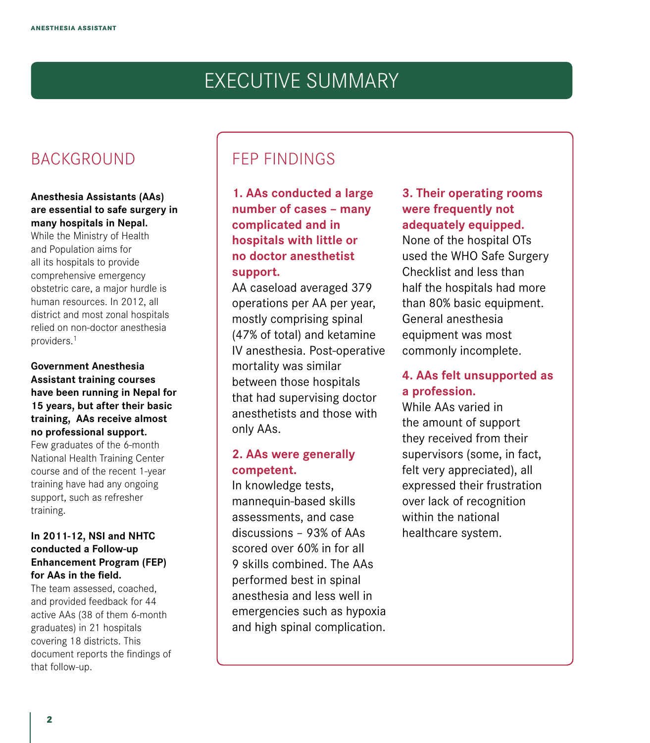### Executive Summary

### **BACKGROUND**

#### **Anesthesia Assistants (AAs) are essential to safe surgery in many hospitals in Nepal.**

While the Ministry of Health and Population aims for all its hospitals to provide comprehensive emergency obstetric care, a major hurdle is human resources. In 2012, all district and most zonal hospitals relied on non-doctor anesthesia providers.1

#### **Government Anesthesia Assistant training courses have been running in Nepal for 15 years, but after their basic training, AAs receive almost no professional support.**

Few graduates of the 6-month National Health Training Center course and of the recent 1-year training have had any ongoing support, such as refresher training.

#### **In 2011-12, NSI and NHTC conducted a Follow-up Enhancement Program (FEP) for AAs in the field.**

The team assessed, coached, and provided feedback for 44 active AAs (38 of them 6-month graduates) in 21 hospitals covering 18 districts. This document reports the findings of that follow-up.

### FEP FINDINGS

**1. AAs conducted a large number of cases – many complicated and in hospitals with little or no doctor anesthetist support.**

AA caseload averaged 379 operations per AA per year, mostly comprising spinal (47% of total) and ketamine IV anesthesia. Post-operative mortality was similar between those hospitals that had supervising doctor anesthetists and those with only AAs.

#### **2. AAs were generally competent.**

In knowledge tests, mannequin-based skills assessments, and case discussions – 93% of AAs scored over 60% in for all 9 skills combined. The AAs performed best in spinal anesthesia and less well in emergencies such as hypoxia and high spinal complication.

#### **3. Their operating rooms were frequently not adequately equipped.**

None of the hospital OTs used the WHO Safe Surgery Checklist and less than half the hospitals had more than 80% basic equipment. General anesthesia equipment was most commonly incomplete.

### **4. AAs felt unsupported as a profession.**

While AAs varied in the amount of support they received from their supervisors (some, in fact, felt very appreciated), all expressed their frustration over lack of recognition within the national healthcare system.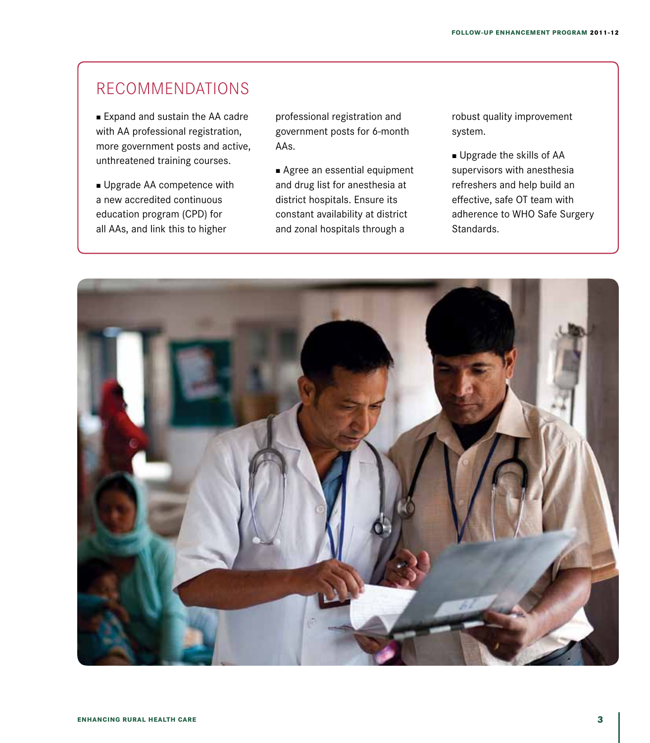### RECOMMENDATIONS

■ Expand and sustain the AA cadre with AA professional registration, more government posts and active, unthreatened training courses.

**u** Upgrade AA competence with a new accredited continuous education program (CPD) for all AAs, and link this to higher

professional registration and government posts for 6-month AAs.

Agree an essential equipment and drug list for anesthesia at district hospitals. Ensure its constant availability at district and zonal hospitals through a

robust quality improvement system.

**u** Upgrade the skills of AA supervisors with anesthesia refreshers and help build an effective, safe OT team with adherence to WHO Safe Surgery Standards.

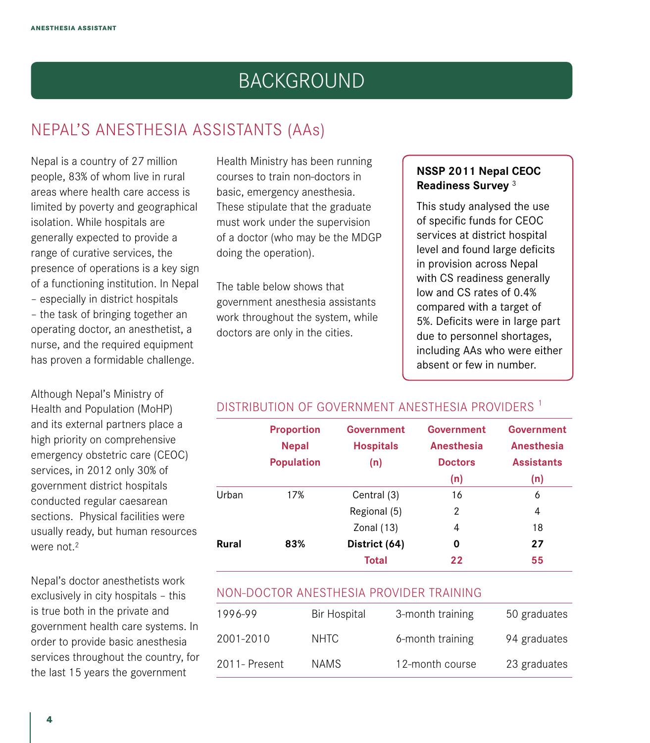### BACKGROUND

### Nepal's Anesthesia Assistants (AAs)

Nepal is a country of 27 million people, 83% of whom live in rural areas where health care access is limited by poverty and geographical isolation. While hospitals are generally expected to provide a range of curative services, the presence of operations is a key sign of a functioning institution. In Nepal – especially in district hospitals – the task of bringing together an operating doctor, an anesthetist, a nurse, and the required equipment has proven a formidable challenge.

Although Nepal's Ministry of Health and Population (MoHP) and its external partners place a high priority on comprehensive emergency obstetric care (CEOC) services, in 2012 only 30% of government district hospitals conducted regular caesarean sections. Physical facilities were usually ready, but human resources were not.<sup>2</sup>

Nepal's doctor anesthetists work exclusively in city hospitals – this is true both in the private and government health care systems. In order to provide basic anesthesia services throughout the country, for the last 15 years the government

Health Ministry has been running courses to train non-doctors in basic, emergency anesthesia. These stipulate that the graduate must work under the supervision of a doctor (who may be the MDGP doing the operation).

The table below shows that government anesthesia assistants work throughout the system, while doctors are only in the cities.

#### **NSSP 2011 Nepal CEOC Readiness Survey** <sup>3</sup>

This study analysed the use of specific funds for CEOC services at district hospital level and found large deficits in provision across Nepal with CS readiness generally low and CS rates of 0.4% compared with a target of 5%. Deficits were in large part due to personnel shortages, including AAs who were either absent or few in number.

### DISTRIBUTION OF GOVERNMENT ANESTHESIA PROVIDERS<sup>1</sup>

|       | <b>Proportion</b><br><b>Nepal</b><br><b>Population</b> | Government<br><b>Hospitals</b><br>(n) | Government<br>Anesthesia<br><b>Doctors</b> | Government<br>Anesthesia<br><b>Assistants</b> |
|-------|--------------------------------------------------------|---------------------------------------|--------------------------------------------|-----------------------------------------------|
|       |                                                        |                                       | (n)                                        | (n)                                           |
| Urban | 17%                                                    | Central (3)                           | 16                                         | 6                                             |
|       |                                                        | Regional (5)                          | 2                                          | 4                                             |
|       |                                                        | Zonal (13)                            | 4                                          | 18                                            |
| Rural | 83%                                                    | District (64)                         | 0                                          | 27                                            |
|       |                                                        | <b>Total</b>                          | 22                                         | 55                                            |

#### Non-doctor anesthesia provider training

| 1996-99      | <b>Bir Hospital</b> | 3-month training | 50 graduates |
|--------------|---------------------|------------------|--------------|
| 2001-2010    | <b>NHTC</b>         | 6-month training | 94 graduates |
| 2011-Present | NAMS                | 12-month course  | 23 graduates |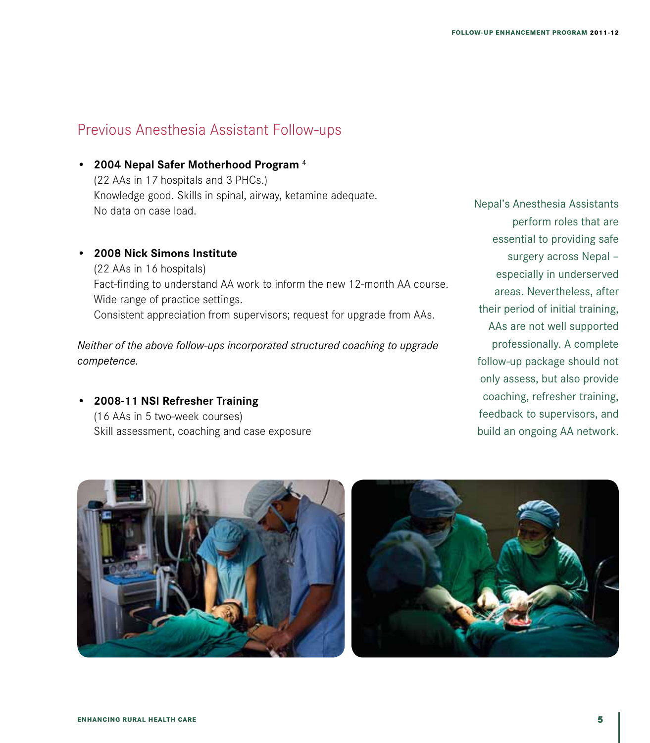### Previous Anesthesia Assistant Follow-ups

**• 2004 Nepal Safer Motherhood Program** <sup>4</sup>

(22 AAs in 17 hospitals and 3 PHCs.) Knowledge good. Skills in spinal, airway, ketamine adequate. No data on case load.

#### **• 2008 Nick Simons Institute**

(22 AAs in 16 hospitals) Fact-finding to understand AA work to inform the new 12-month AA course. Wide range of practice settings. Consistent appreciation from supervisors; request for upgrade from AAs.

*Neither of the above follow-ups incorporated structured coaching to upgrade competence.*

**• 2008-11 NSI Refresher Training** (16 AAs in 5 two-week courses) Skill assessment, coaching and case exposure Nepal's Anesthesia Assistants perform roles that are essential to providing safe surgery across Nepal – especially in underserved areas. Nevertheless, after their period of initial training, AAs are not well supported professionally. A complete follow-up package should not only assess, but also provide coaching, refresher training, feedback to supervisors, and build an ongoing AA network.



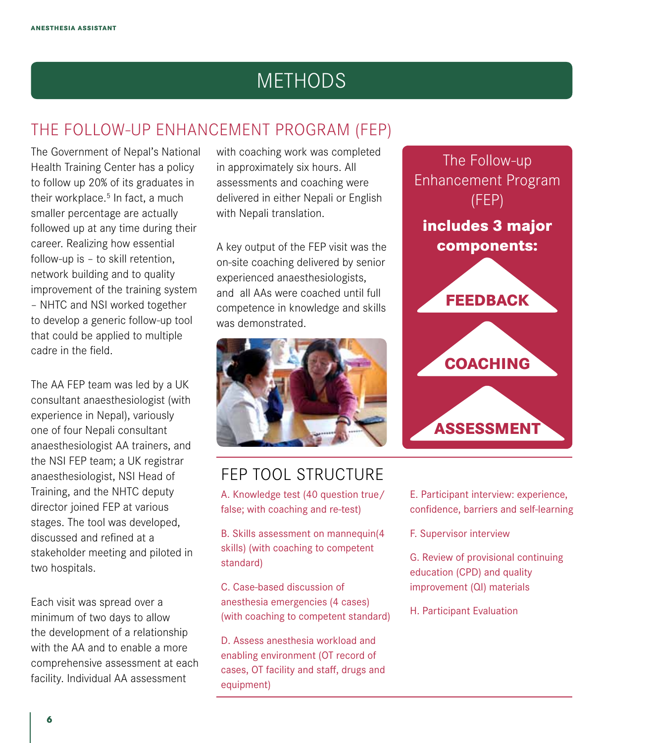### **METHODS**

### The Follow-up Enhancement Program (FEP)

The Government of Nepal's National Health Training Center has a policy to follow up 20% of its graduates in their workplace.<sup>5</sup> In fact, a much smaller percentage are actually followed up at any time during their career. Realizing how essential follow-up is – to skill retention, network building and to quality improvement of the training system – NHTC and NSI worked together to develop a generic follow-up tool that could be applied to multiple cadre in the field.

The AA FEP team was led by a UK consultant anaesthesiologist (with experience in Nepal), variously one of four Nepali consultant anaesthesiologist AA trainers, and the NSI FEP team; a UK registrar anaesthesiologist, NSI Head of Training, and the NHTC deputy director joined FEP at various stages. The tool was developed, discussed and refined at a stakeholder meeting and piloted in two hospitals.

Each visit was spread over a minimum of two days to allow the development of a relationship with the AA and to enable a more comprehensive assessment at each facility. Individual AA assessment

with coaching work was completed in approximately six hours. All assessments and coaching were delivered in either Nepali or English with Nepali translation.

A key output of the FEP visit was the on-site coaching delivered by senior experienced anaesthesiologists, and all AAs were coached until full competence in knowledge and skills was demonstrated.



### FEP tool structure

A. Knowledge test (40 question true/ false; with coaching and re-test)

B. Skills assessment on mannequin(4 skills) (with coaching to competent standard)

C. Case-based discussion of anesthesia emergencies (4 cases) (with coaching to competent standard)

D. Assess anesthesia workload and enabling environment (OT record of cases, OT facility and staff, drugs and equipment)



E. Participant interview: experience, confidence, barriers and self-learning

F. Supervisor interview

G. Review of provisional continuing education (CPD) and quality improvement (QI) materials

H. Participant Evaluation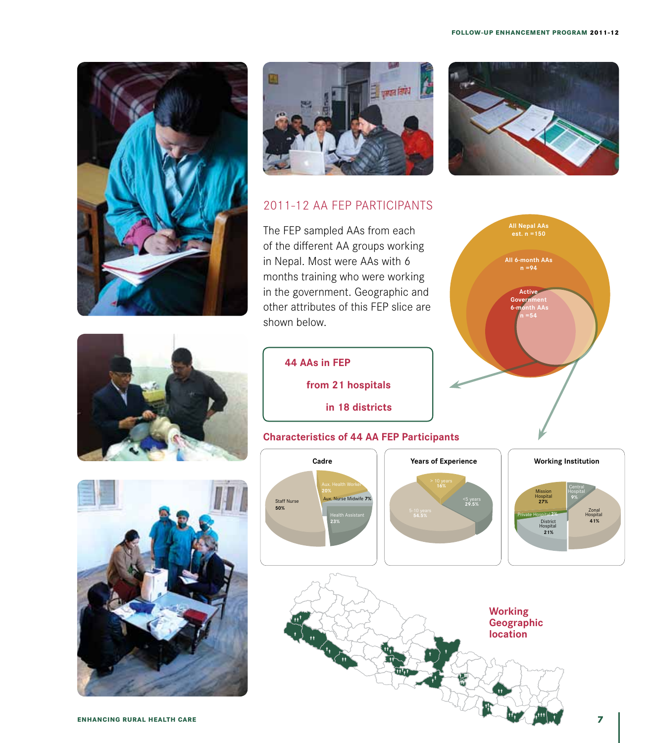



#### 2011-12 AA FEP Participants

The FEP sampled AAs from each of the different AA groups working in Nepal. Most were AAs with 6 months training who were working in the government. Geographic and other attributes of this FEP slice are shown below.







**44 AAs in FEP from 21 hospitals in 18 districts**

**Cadre**

#### **Characteristics of 44 AA FEP Participants**





Ħ

 $H_1 = H_2$ 

-11

1Ì.

`ŧ!

л,

Ю

đ,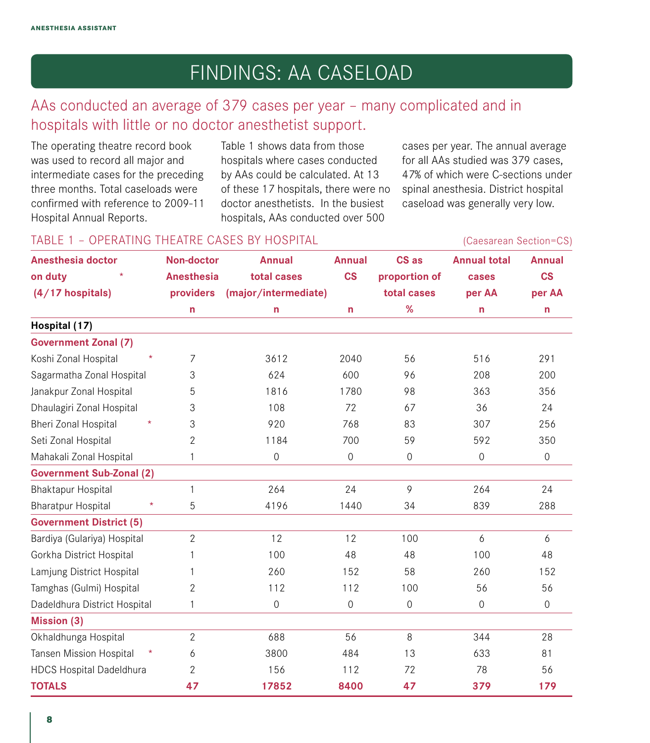### FINDINGS: AA Caseload

### AAs conducted an average of 379 cases per year – many complicated and in hospitals with little or no doctor anesthetist support.

The operating theatre record book was used to record all major and intermediate cases for the preceding three months. Total caseloads were confirmed with reference to 2009-11 Hospital Annual Reports.

Table 1 shows data from those hospitals where cases conducted by AAs could be calculated. At 13 of these 17 hospitals, there were no doctor anesthetists. In the busiest hospitals, AAs conducted over 500

**Anesthesia doctor Non-doctor Annual Annual CS as Annual total Annual** 

cases per year. The annual average for all AAs studied was 379 cases, 47% of which were C-sections under spinal anesthesia. District hospital caseload was generally very low.

#### TABLE 1 - OPERATING THEATRE CASES BY HOSPITAL (Caesarean Section=CS)

**on duty \* Anesthesia total cases CS proportion of cases CS (4/17 hospitals) providers (major/intermediate) total cases per AA per AA n n n % n n Hospital (17) Government Zonal (7)** Koshi Zonal Hospital **\*** 7 3612 2040 56 516 291 Sagarmatha Zonal Hospital  $\overline{3}$  624 600 96 208 200 Janakpur Zonal Hospital 5 1816 1780 98 363 356 Dhaulagiri Zonal Hospital  $\begin{array}{ccc} 3 & 108 & 72 & 67 & 36 \end{array}$  24 Bheri Zonal Hospital **\*** 3 920 768 83 307 256 Seti Zonal Hospital 2 1184 700 59 592 350 Mahakali Zonal Hospital 1 0 0 0 0 0 **Government Sub-Zonal (2)** Bhaktapur Hospital 1 1 264 24 9 264 24 Bharatpur Hospital **\*** 5 4196 1440 34 839 288 **Government District (5)** Bardiya (Gulariya) Hospital 2 12 12 100 6 6 Gorkha District Hospital 1 1 100 48 48 100 48 Lamjung District Hospital 1 1 260 152 58 260 152 Tamghas (Gulmi) Hospital 2 112 112 100 56 56 Dadeldhura District Hospital  $\begin{array}{ccc} 1 & 0 & 0 & 0 & 0 \end{array}$ **Mission (3)** Okhaldhunga Hospital  $2$  688 56 8 344 28 Tansen Mission Hospital **\*** 6 3800 484 13 633 81

HDCS Hospital Dadeldhura 2 156 112 72 78 56 **TOTALS 47 17852 8400 47 379 179**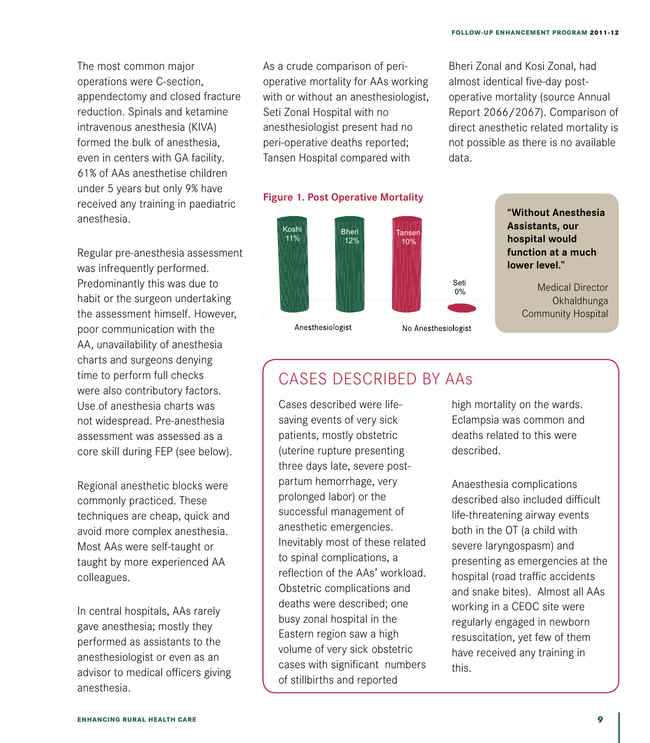Bheri Zonal and Kosi Zonal, had almost identical five-day postoperative mortality (source Annual Report 2066/2067). Comparison of direct anesthetic related mortality is not possible as there is no available

The most common major operations were C-section, appendectomy and closed fracture reduction. Spinals and ketamine intravenous anesthesia (KIVA) formed the bulk of anesthesia, even in centers with GA facility. 61% of AAs anesthetise children under 5 years but only 9% have received any training in paediatric anesthesia.

Regular pre-anesthesia assessment was infrequently performed. Predominantly this was due to habit or the surgeon undertaking the assessment himself. However, poor communication with the AA, unavailability of anesthesia charts and surgeons denying time to perform full checks were also contributory factors. Use of anesthesia charts was not widespread. Pre-anesthesia assessment was assessed as a core skill during FEP (see below).

Regional anesthetic blocks were commonly practiced. These techniques are cheap, quick and avoid more complex anesthesia. Most AAs were self-taught or taught by more experienced AA colleagues.

In central hospitals, AAs rarely gave anesthesia; mostly they performed as assistants to the anesthesiologist or even as an advisor to medical officers giving anesthesia.

As a crude comparison of perioperative mortality for AAs working with or without an anesthesiologist, Seti Zonal Hospital with no anesthesiologist present had no peri-operative deaths reported; Tansen Hospital compared with

**Figure 1. Post Operative Mortality**

data. Seti 0% Tansei 10% Bheri 12%

Anesthesiologist

Koshi 11%

No Anesthesiologist

**"Without Anesthesia Assistants, our hospital would function at a much lower level."**

> Medical Director Okhaldhunga Community Hospital

### Cases described by AAs

Cases described were lifesaving events of very sick patients, mostly obstetric (uterine rupture presenting three days late, severe postpartum hemorrhage, very prolonged labor) or the successful management of anesthetic emergencies. Inevitably most of these related to spinal complications, a reflection of the AAs' workload. Obstetric complications and deaths were described; one busy zonal hospital in the Eastern region saw a high volume of very sick obstetric cases with significant numbers of stillbirths and reported

high mortality on the wards. Eclampsia was common and deaths related to this were described.

Anaesthesia complications described also included difficult life-threatening airway events both in the OT (a child with severe laryngospasm) and presenting as emergencies at the hospital (road traffic accidents and snake bites). Almost all AAs working in a CEOC site were regularly engaged in newborn resuscitation, yet few of them have received any training in this.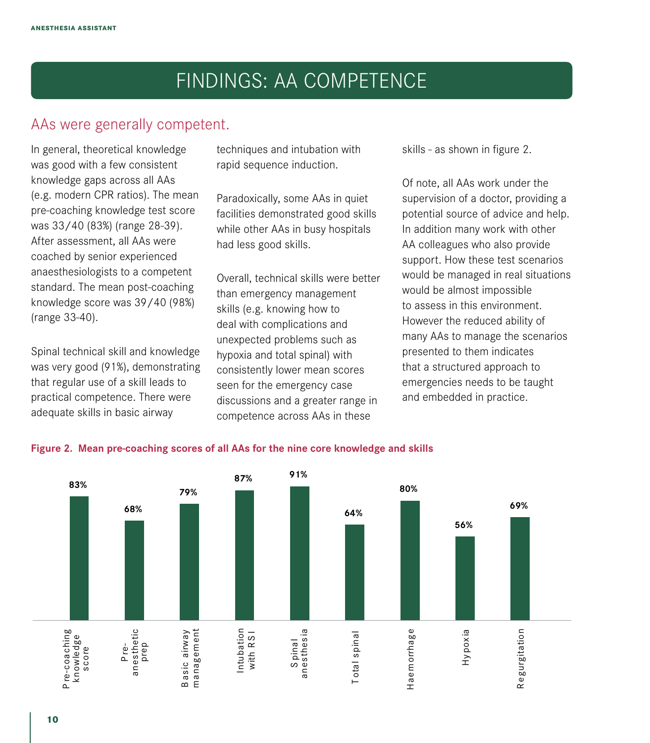### FINDINGS: AA Competence

### AAs were generally competent.

In general, theoretical knowledge was good with a few consistent knowledge gaps across all AAs (e.g. modern CPR ratios). The mean pre-coaching knowledge test score was 33/40 (83%) (range 28-39). After assessment, all AAs were coached by senior experienced anaesthesiologists to a competent standard. The mean post-coaching knowledge score was 39/40 (98%) (range 33-40).

Spinal technical skill and knowledge was very good (91%), demonstrating that regular use of a skill leads to practical competence. There were adequate skills in basic airway

techniques and intubation with rapid sequence induction.

Paradoxically, some AAs in quiet facilities demonstrated good skills while other AAs in busy hospitals had less good skills.

Overall, technical skills were better than emergency management skills (e.g. knowing how to deal with complications and unexpected problems such as hypoxia and total spinal) with consistently lower mean scores seen for the emergency case discussions and a greater range in competence across AAs in these

skills - as shown in figure 2.

Of note, all AAs work under the supervision of a doctor, providing a potential source of advice and help. In addition many work with other AA colleagues who also provide support. How these test scenarios would be managed in real situations would be almost impossible to assess in this environment. However the reduced ability of many AAs to manage the scenarios presented to them indicates that a structured approach to emergencies needs to be taught and embedded in practice.



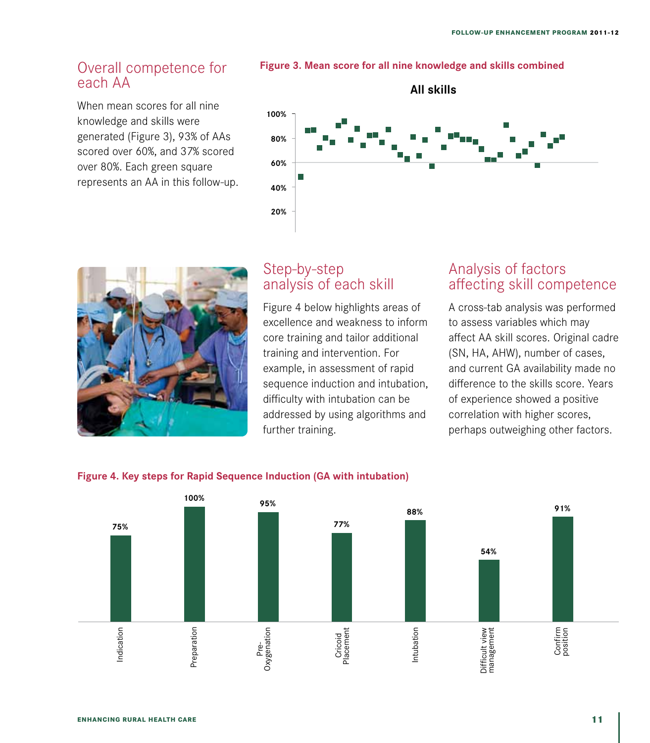### Overall competence for each AA

When mean scores for all nine knowledge and skills were generated (Figure 3), 93% of AAs scored over 60%, and 37% scored over 80%. Each green square represents an AA in this follow-up.



**Figure 3. Mean score for all nine knowledge and skills combined**



### Step-by-step analysis of each skill

Figure 4 below highlights areas of excellence and weakness to inform core training and tailor additional training and intervention. For example, in assessment of rapid sequence induction and intubation, difficulty with intubation can be addressed by using algorithms and further training.

### Analysis of factors affecting skill competence

A cross-tab analysis was performed to assess variables which may affect AA skill scores. Original cadre (SN, HA, AHW), number of cases, and current GA availability made no difference to the skills score. Years of experience showed a positive correlation with higher scores, perhaps outweighing other factors.



#### **Figure 4. Key steps for Rapid Sequence Induction (GA with intubation)**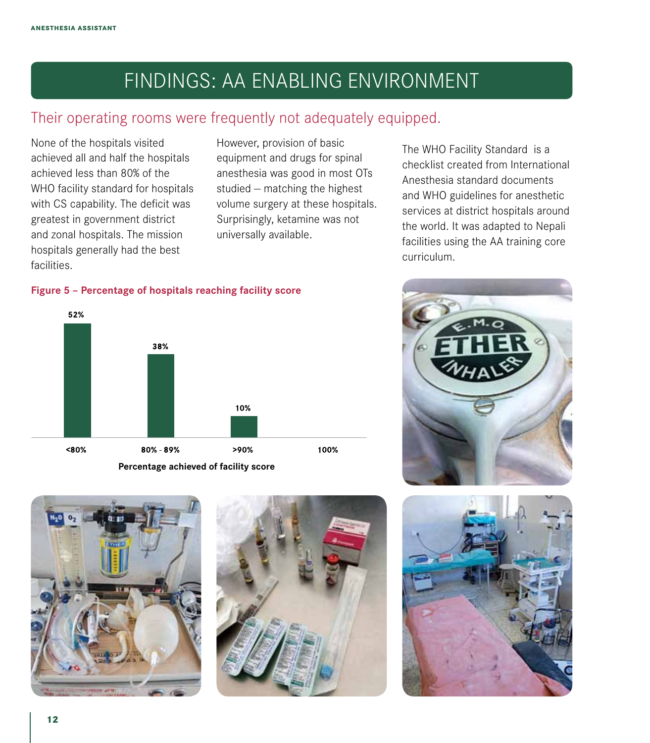### FINDINGS: AA Enabling Environment

### Their operating rooms were frequently not adequately equipped.

None of the hospitals visited achieved all and half the hospitals achieved less than 80% of the WHO facility standard for hospitals with CS capability. The deficit was greatest in government district and zonal hospitals. The mission hospitals generally had the best facilities.

However, provision of basic equipment and drugs for spinal anesthesia was good in most OTs studied — matching the highest volume surgery at these hospitals. Surprisingly, ketamine was not universally available.

The WHO Facility Standard is a checklist created from International Anesthesia standard documents and WHO guidelines for anesthetic services at district hospitals around the world. It was adapted to Nepali facilities using the AA training core curriculum.

#### **Figure 5 - Percentage of hospitals reaching facility score**











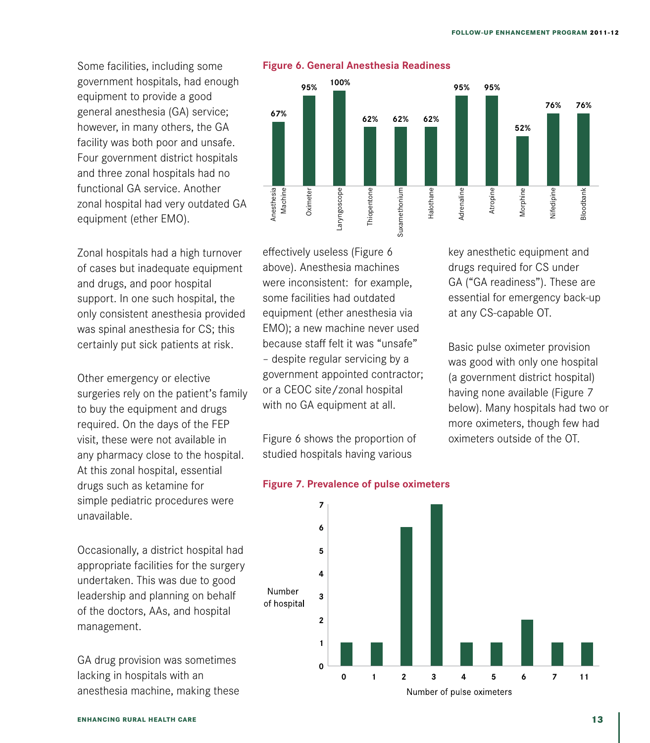**76% 76%**

Some facilities, including some government hospitals, had enough equipment to provide a good general anesthesia (GA) service; however, in many others, the GA facility was both poor and unsafe. Four government district hospitals and three zonal hospitals had no functional GA service. Another zonal hospital had very outdated GA equipment (ether EMO).

Zonal hospitals had a high turnover of cases but inadequate equipment and drugs, and poor hospital support. In one such hospital, the only consistent anesthesia provided was spinal anesthesia for CS; this certainly put sick patients at risk.

Other emergency or elective surgeries rely on the patient's family to buy the equipment and drugs required. On the days of the FEP visit, these were not available in any pharmacy close to the hospital. At this zonal hospital, essential drugs such as ketamine for simple pediatric procedures were unavailable.

Occasionally, a district hospital had appropriate facilities for the surgery undertaken. This was due to good leadership and planning on behalf of the doctors, AAs, and hospital management.

GA drug provision was sometimes lacking in hospitals with an anesthesia machine, making these



Suxamethonium

suxamethonium

Halothane

**Halothane** 

Adrenaline

Adrenaline

Atropine

#### **Figure 6. General Anesthesia Readiness**

effectively useless (Figure 6 above). Anesthesia machines were inconsistent: for example, some facilities had outdated equipment (ether anesthesia via EMO); a new machine never used because staff felt it was "unsafe" – despite regular servicing by a government appointed contractor; or a CEOC site/zonal hospital with no GA equipment at all.

Laryngoscope

aryngoscope

Thiopentone

Thiopentone

Anesthesia Machine

Anesthesia

Oximeter

Oximeter

Figure 6 shows the proportion of studied hospitals having various

key anesthetic equipment and drugs required for CS under GA ("GA readiness"). These are essential for emergency back-up at any CS-capable OT.

Morphine

Nifedipine

Bloodbank

**Sloodbank** 

Basic pulse oximeter provision was good with only one hospital (a government district hospital) having none available (Figure 7 below). Many hospitals had two or more oximeters, though few had oximeters outside of the OT.



#### **Figure 7. Prevalence of pulse oximeters**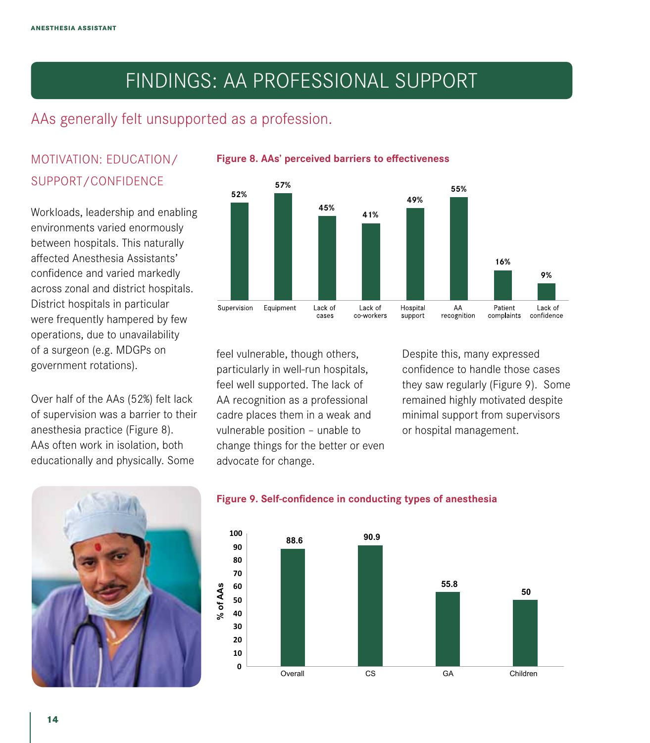### FINDINGS: AA Professional Support

### AAs generally felt unsupported as a profession.

### Motivation: Education/ support/confidence

Workloads, leadership and enabling environments varied enormously between hospitals. This naturally affected Anesthesia Assistants' confidence and varied markedly across zonal and district hospitals. District hospitals in particular were frequently hampered by few operations, due to unavailability of a surgeon (e.g. MDGPs on government rotations).

Over half of the AAs (52%) felt lack of supervision was a barrier to their anesthesia practice (Figure 8). AAs often work in isolation, both educationally and physically. Some





feel vulnerable, though others, particularly in well-run hospitals, feel well supported. The lack of AA recognition as a professional cadre places them in a weak and vulnerable position – unable to change things for the better or even advocate for change.

Despite this, many expressed confidence to handle those cases they saw regularly (Figure 9). Some remained highly motivated despite minimal support from supervisors or hospital management.



#### **Figure 9. Self-confidence in conducting types of anesthesia**

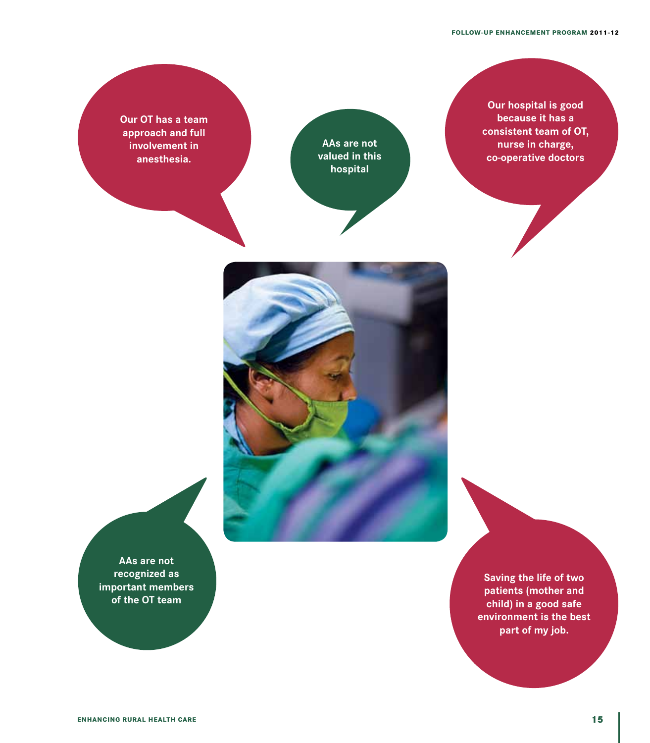

**AAs are not recognized as important members of the OT team**

**Saving the life of two patients (mother and child) in a good safe environment is the best part of my job.**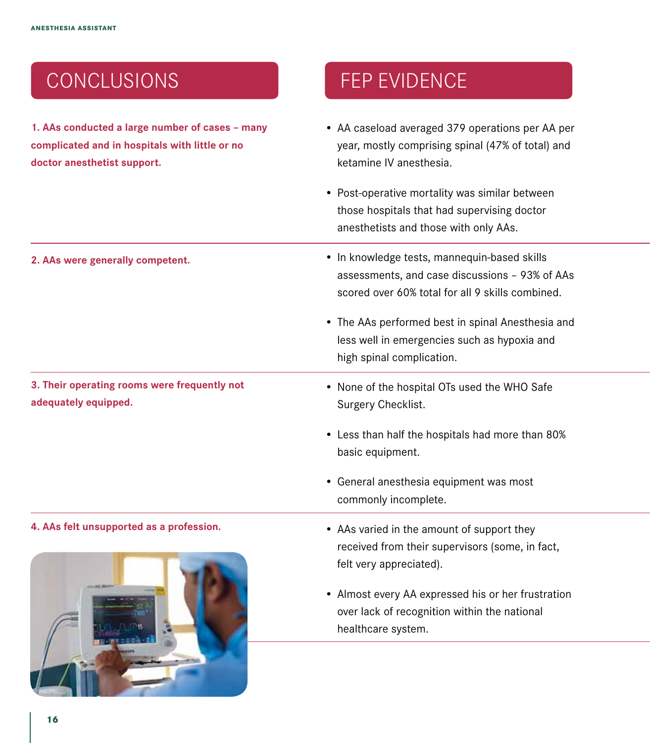### CONCLUSIONS FEP EVIDENCE

**2. AAs were generally competent.**

**adequately equipped.**

**1. AAs conducted a large number of cases – many complicated and in hospitals with little or no doctor anesthetist support.**

- **•** AA caseload averaged 379 operations per AA per year, mostly comprising spinal (47% of total) and ketamine IV anesthesia.
- **•** Post-operative mortality was similar between those hospitals that had supervising doctor anesthetists and those with only AAs.
- **•** In knowledge tests, mannequin-based skills assessments, and case discussions – 93% of AAs scored over 60% total for all 9 skills combined.
- **•** The AAs performed best in spinal Anesthesia and less well in emergencies such as hypoxia and high spinal complication.
- **•** None of the hospital OTs used the WHO Safe Surgery Checklist.
- **•** Less than half the hospitals had more than 80% basic equipment.
- **•** General anesthesia equipment was most commonly incomplete.

**4. AAs felt unsupported as a profession.**

**3. Their operating rooms were frequently not** 



- **•** AAs varied in the amount of support they received from their supervisors (some, in fact, felt very appreciated).
- **•** Almost every AA expressed his or her frustration over lack of recognition within the national healthcare system.